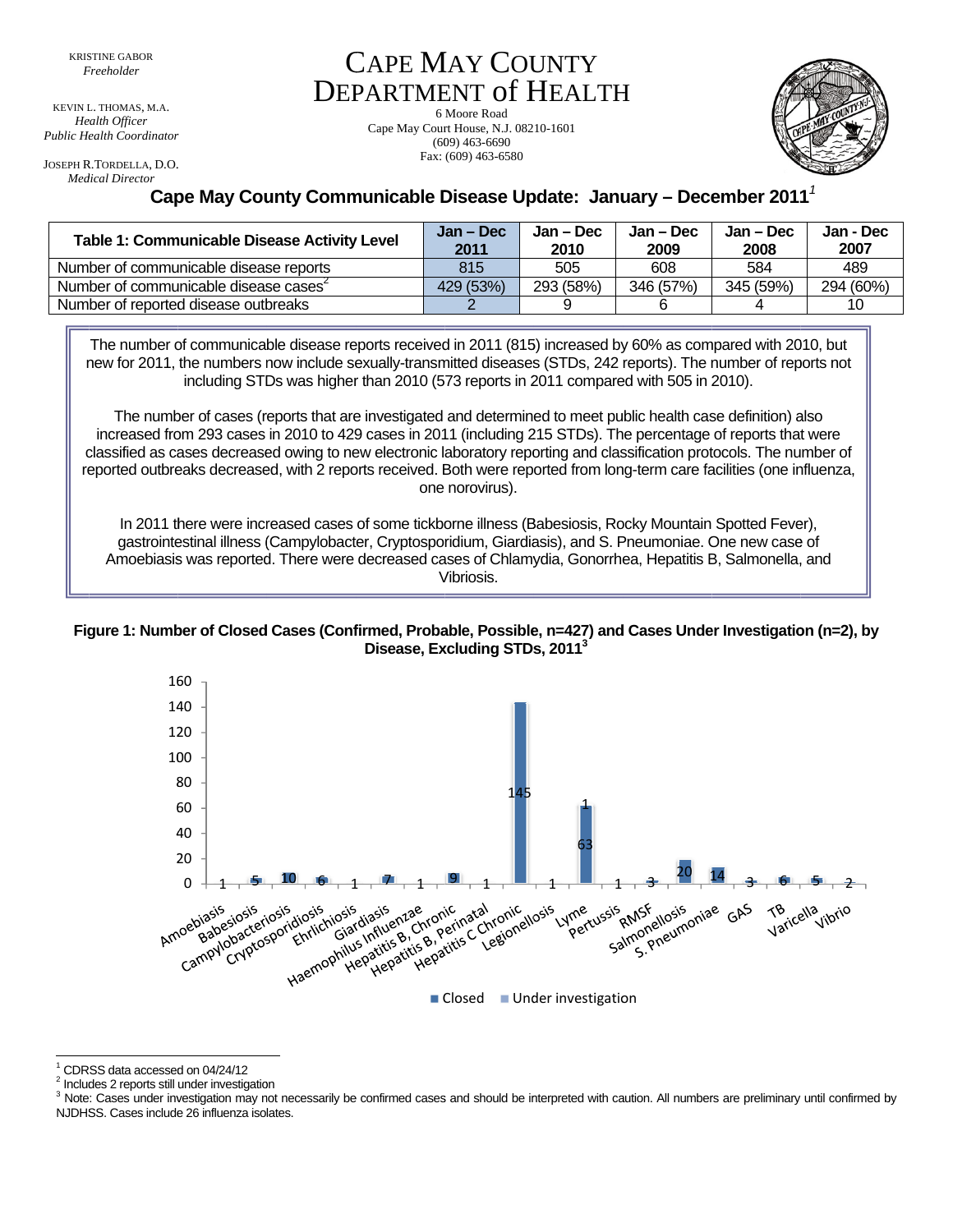KEVIN L. THOMAS, M.A. Health Officer Public Health Coordinator

JOSEPH R.TORDELLA, D.O. **Medical Director** 

Fax: (609) 463-6580

**CAPE MAY COUNTY** 

**DEPARTMENT of HEALTH** 

6 Moore Road

Cape May Court House, N.J. 08210-1601

 $(609)$  463-6690

## Cape May County Communicable Disease Update: January - December 2011<sup>1</sup>

| <b>Table 1: Communicable Disease Activity Level</b> | Jan – Dec<br>2011 | Jan – Dec<br>2010 | Jan – Dec<br>2009 | Jan – Dec<br>2008 | Jan - Dec<br>2007 |
|-----------------------------------------------------|-------------------|-------------------|-------------------|-------------------|-------------------|
| Number of communicable disease reports              | 815               | 505               | 608               | 584               | 489               |
| Number of communicable disease cases                | 429 (53%)         | 293 (58%)         | 346 (57%)         | 345 (59%)         | 294 (60%)         |
| Number of reported disease outbreaks                |                   |                   |                   |                   | 10                |

The number of communicable disease reports received in 2011 (815) increased by 60% as compared with 2010, but new for 2011, the numbers now include sexually-transmitted diseases (STDs, 242 reports). The number of reports not including STDs was higher than 2010 (573 reports in 2011 compared with 505 in 2010).

The number of cases (reports that are investigated and determined to meet public health case definition) also increased from 293 cases in 2010 to 429 cases in 2011 (including 215 STDs). The percentage of reports that were classified as cases decreased owing to new electronic laboratory reporting and classification protocols. The number of reported outbreaks decreased, with 2 reports received. Both were reported from long-term care facilities (one influenza, one norovirus).

In 2011 there were increased cases of some tickborne illness (Babesiosis, Rocky Mountain Spotted Fever), gastrointestinal illness (Campylobacter, Cryptosporidium, Giardiasis), and S. Pneumoniae. One new case of Amoebiasis was reported. There were decreased cases of Chlamydia, Gonorrhea, Hepatitis B, Salmonella, and Vibriosis.

Figure 1: Number of Closed Cases (Confirmed, Probable, Possible, n=427) and Cases Under Investigation (n=2), by Disease, Excluding STDs, 2011<sup>3</sup>



<sup>1</sup> CDRSS data accessed on 04/24/12

<sup>&</sup>lt;sup>2</sup> Includes 2 reports still under investigation

<sup>&</sup>lt;sup>3</sup> Note: Cases under investigation may not necessarily be confirmed cases and should be interpreted with caution. All numbers are preliminary until confirmed by NJDHSS. Cases include 26 influenza isolates.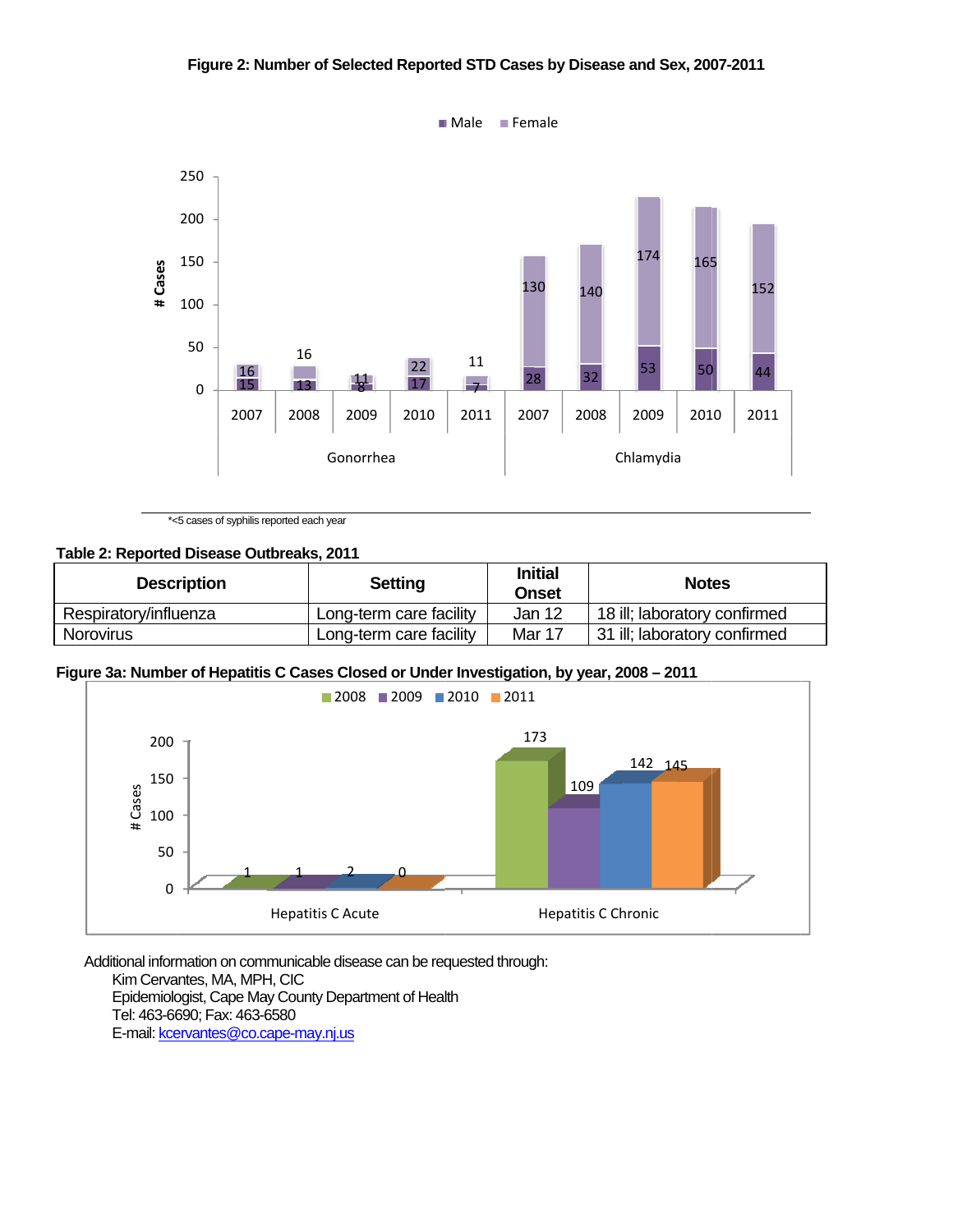## Figure 2: Number of Selected Reported STD Cases by Disease and Sex, 2007-2011



\*<5 cases of syphilis reported each year

## Table 2: Reported Disease Outbreaks, 2011

| <b>Description</b>    | <b>Setting</b>          | <b>Initial</b><br><b>Onset</b> | <b>Notes</b>                 |
|-----------------------|-------------------------|--------------------------------|------------------------------|
| Respiratory/influenza | Long-term care facility | Jan 12                         | 18 ill; laboratory confirmed |
| Norovirus             | Long-term care facility | Mar 17                         | 31 ill; laboratory confirmed |

## Figure 3a: Number of Hepatitis C Cases Closed or Under Investigation, by year, 2008 - 2011



Additional information on communicable disease can be requested through: Kim Cervantes, MA, MPH, CIC Epidemiologist, Cape May County Department of Health Tel: 463-6690; Fax: 463-6580 E-mail: kcervantes@co.cape-may.nj.us